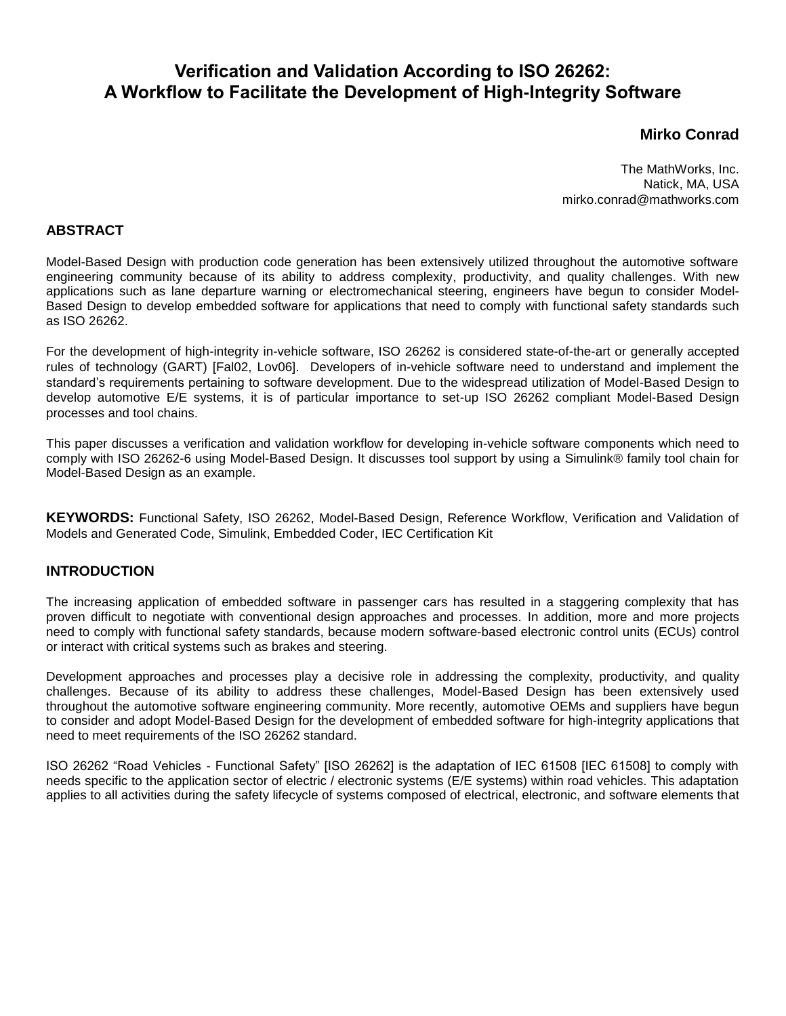# **Verification and Validation According to ISO 26262: A Workflow to Facilitate the Development of High-Integrity Software**

## **Mirko Conrad**

The MathWorks, Inc. Natick, MA, USA mirko.conrad@mathworks.com

## **ABSTRACT**

Model-Based Design with production code generation has been extensively utilized throughout the automotive software engineering community because of its ability to address complexity, productivity, and quality challenges. With new applications such as lane departure warning or electromechanical steering, engineers have begun to consider Model-Based Design to develop embedded software for applications that need to comply with functional safety standards such as ISO 26262.

For the development of high-integrity in-vehicle software, ISO 26262 is considered state-of-the-art or generally accepted rules of technology (GART) [Fal02, Lov06]. Developers of in-vehicle software need to understand and implement the standard's requirements pertaining to software development. Due to the widespread utilization of Model-Based Design to develop automotive E/E systems, it is of particular importance to set-up ISO 26262 compliant Model-Based Design processes and tool chains.

This paper discusses a verification and validation workflow for developing in-vehicle software components which need to comply with ISO 26262-6 using Model-Based Design. It discusses tool support by using a Simulink® family tool chain for Model-Based Design as an example.

**KEYWORDS:** Functional Safety, ISO 26262, Model-Based Design, Reference Workflow, Verification and Validation of Models and Generated Code, Simulink, Embedded Coder, IEC Certification Kit

## **INTRODUCTION**

The increasing application of embedded software in passenger cars has resulted in a staggering complexity that has proven difficult to negotiate with conventional design approaches and processes. In addition, more and more projects need to comply with functional safety standards, because modern software-based electronic control units (ECUs) control or interact with critical systems such as brakes and steering.

Development approaches and processes play a decisive role in addressing the complexity, productivity, and quality challenges. Because of its ability to address these challenges, Model-Based Design has been extensively used throughout the automotive software engineering community. More recently, automotive OEMs and suppliers have begun to consider and adopt Model-Based Design for the development of embedded software for high-integrity applications that need to meet requirements of the ISO 26262 standard.

ISO 26262 "Road Vehicles - Functional Safety" [ISO 26262] is the adaptation of IEC 61508 [IEC 61508] to comply with needs specific to the application sector of electric / electronic systems (E/E systems) within road vehicles. This adaptation applies to all activities during the safety lifecycle of systems composed of electrical, electronic, and software elements that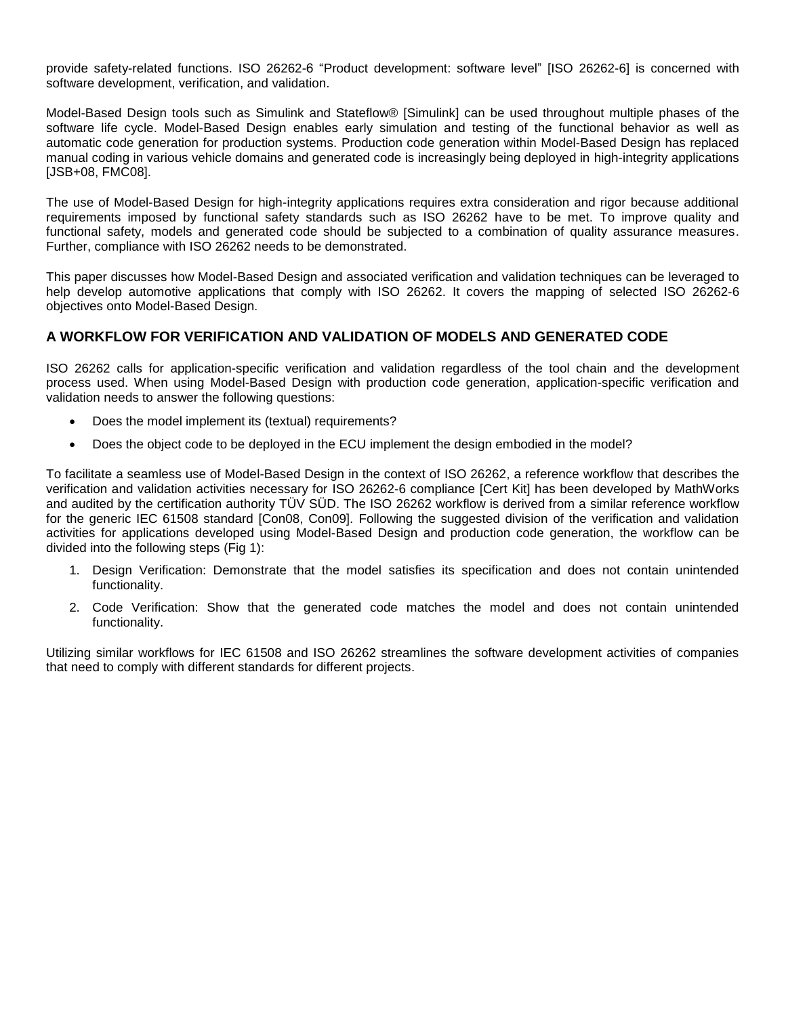provide safety-related functions. ISO 26262-6 "Product development: software level" [ISO 26262-6] is concerned with software development, verification, and validation.

Model-Based Design tools such as Simulink and Stateflow® [Simulink] can be used throughout multiple phases of the software life cycle. Model-Based Design enables early simulation and testing of the functional behavior as well as automatic code generation for production systems. Production code generation within Model-Based Design has replaced manual coding in various vehicle domains and generated code is increasingly being deployed in high-integrity applications [JSB+08, FMC08].

The use of Model-Based Design for high-integrity applications requires extra consideration and rigor because additional requirements imposed by functional safety standards such as ISO 26262 have to be met. To improve quality and functional safety, models and generated code should be subjected to a combination of quality assurance measures. Further, compliance with ISO 26262 needs to be demonstrated.

This paper discusses how Model-Based Design and associated verification and validation techniques can be leveraged to help develop automotive applications that comply with ISO 26262. It covers the mapping of selected ISO 26262-6 objectives onto Model-Based Design.

## **A WORKFLOW FOR VERIFICATION AND VALIDATION OF MODELS AND GENERATED CODE**

ISO 26262 calls for application-specific verification and validation regardless of the tool chain and the development process used. When using Model-Based Design with production code generation, application-specific verification and validation needs to answer the following questions:

- Does the model implement its (textual) requirements?
- Does the object code to be deployed in the ECU implement the design embodied in the model?

To facilitate a seamless use of Model-Based Design in the context of ISO 26262, a reference workflow that describes the verification and validation activities necessary for ISO 26262-6 compliance [Cert Kit] has been developed by MathWorks and audited by the certification authority TÜV SÜD. The ISO 26262 workflow is derived from a similar reference workflow for the generic IEC 61508 standard [Con08, Con09]. Following the suggested division of the verification and validation activities for applications developed using Model-Based Design and production code generation, the workflow can be divided into the following steps (Fig 1):

- 1. Design Verification: Demonstrate that the model satisfies its specification and does not contain unintended functionality.
- 2. Code Verification: Show that the generated code matches the model and does not contain unintended functionality.

Utilizing similar workflows for IEC 61508 and ISO 26262 streamlines the software development activities of companies that need to comply with different standards for different projects.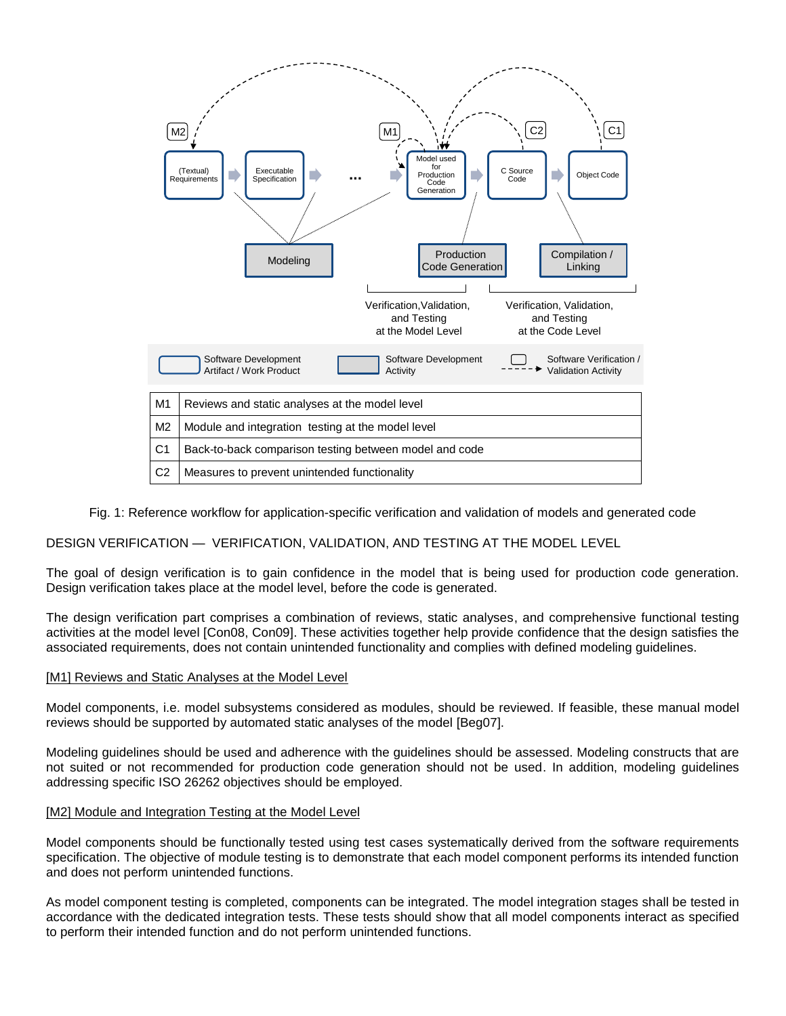

#### Fig. 1: Reference workflow for application-specific verification and validation of models and generated code

## DESIGN VERIFICATION — VERIFICATION, VALIDATION, AND TESTING AT THE MODEL LEVEL

The goal of design verification is to gain confidence in the model that is being used for production code generation. Design verification takes place at the model level, before the code is generated.

The design verification part comprises a combination of reviews, static analyses, and comprehensive functional testing activities at the model level [Con08, Con09]. These activities together help provide confidence that the design satisfies the associated requirements, does not contain unintended functionality and complies with defined modeling guidelines.

#### [M1] Reviews and Static Analyses at the Model Level

Model components, i.e. model subsystems considered as modules, should be reviewed. If feasible, these manual model reviews should be supported by automated static analyses of the model [Beg07].

Modeling guidelines should be used and adherence with the guidelines should be assessed. Modeling constructs that are not suited or not recommended for production code generation should not be used. In addition, modeling guidelines addressing specific ISO 26262 objectives should be employed.

#### [M2] Module and Integration Testing at the Model Level

Model components should be functionally tested using test cases systematically derived from the software requirements specification. The objective of module testing is to demonstrate that each model component performs its intended function and does not perform unintended functions.

As model component testing is completed, components can be integrated. The model integration stages shall be tested in accordance with the dedicated integration tests. These tests should show that all model components interact as specified to perform their intended function and do not perform unintended functions.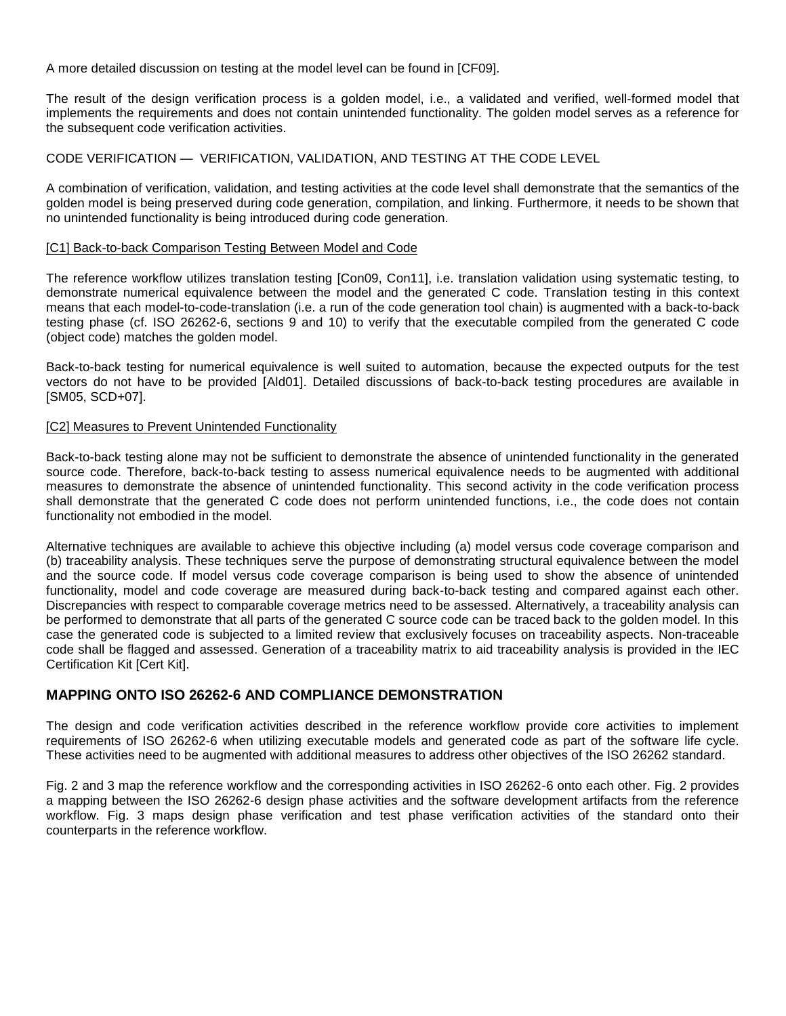A more detailed discussion on testing at the model level can be found in [CF09].

The result of the design verification process is a golden model, i.e., a validated and verified, well-formed model that implements the requirements and does not contain unintended functionality. The golden model serves as a reference for the subsequent code verification activities.

### CODE VERIFICATION — VERIFICATION, VALIDATION, AND TESTING AT THE CODE LEVEL

A combination of verification, validation, and testing activities at the code level shall demonstrate that the semantics of the golden model is being preserved during code generation, compilation, and linking. Furthermore, it needs to be shown that no unintended functionality is being introduced during code generation.

#### [C1] Back-to-back Comparison Testing Between Model and Code

The reference workflow utilizes translation testing [Con09, Con11], i.e. translation validation using systematic testing, to demonstrate numerical equivalence between the model and the generated C code. Translation testing in this context means that each model-to-code-translation (i.e. a run of the code generation tool chain) is augmented with a back-to-back testing phase (cf. ISO 26262-6, sections 9 and 10) to verify that the executable compiled from the generated C code (object code) matches the golden model.

Back-to-back testing for numerical equivalence is well suited to automation, because the expected outputs for the test vectors do not have to be provided [Ald01]. Detailed discussions of back-to-back testing procedures are available in [SM05, SCD+07].

#### [C2] Measures to Prevent Unintended Functionality

Back-to-back testing alone may not be sufficient to demonstrate the absence of unintended functionality in the generated source code. Therefore, back-to-back testing to assess numerical equivalence needs to be augmented with additional measures to demonstrate the absence of unintended functionality. This second activity in the code verification process shall demonstrate that the generated C code does not perform unintended functions, i.e., the code does not contain functionality not embodied in the model.

Alternative techniques are available to achieve this objective including (a) model versus code coverage comparison and (b) traceability analysis. These techniques serve the purpose of demonstrating structural equivalence between the model and the source code. If model versus code coverage comparison is being used to show the absence of unintended functionality, model and code coverage are measured during back-to-back testing and compared against each other. Discrepancies with respect to comparable coverage metrics need to be assessed. Alternatively, a traceability analysis can be performed to demonstrate that all parts of the generated C source code can be traced back to the golden model. In this case the generated code is subjected to a limited review that exclusively focuses on traceability aspects. Non-traceable code shall be flagged and assessed. Generation of a traceability matrix to aid traceability analysis is provided in the IEC Certification Kit [Cert Kit].

### **MAPPING ONTO ISO 26262-6 AND COMPLIANCE DEMONSTRATION**

The design and code verification activities described in the reference workflow provide core activities to implement requirements of ISO 26262-6 when utilizing executable models and generated code as part of the software life cycle. These activities need to be augmented with additional measures to address other objectives of the ISO 26262 standard.

Fig. 2 and 3 map the reference workflow and the corresponding activities in ISO 26262-6 onto each other. Fig. 2 provides a mapping between the ISO 26262-6 design phase activities and the software development artifacts from the reference workflow. Fig. 3 maps design phase verification and test phase verification activities of the standard onto their counterparts in the reference workflow.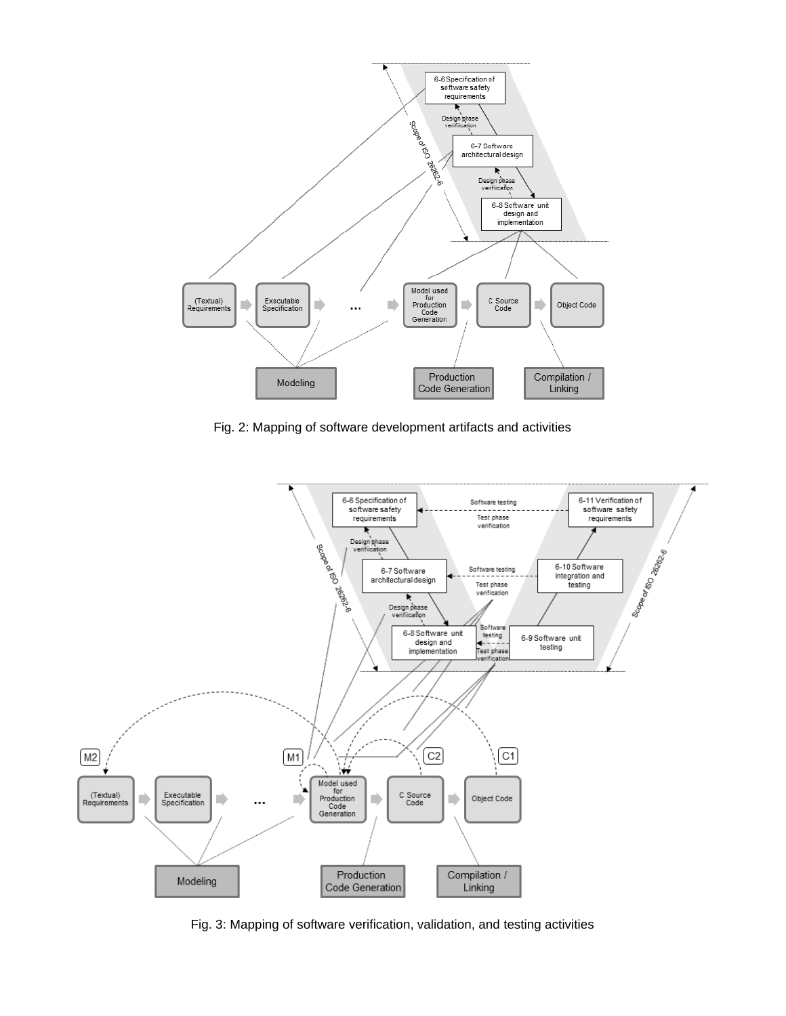

Fig. 2: Mapping of software development artifacts and activities



Fig. 3: Mapping of software verification, validation, and testing activities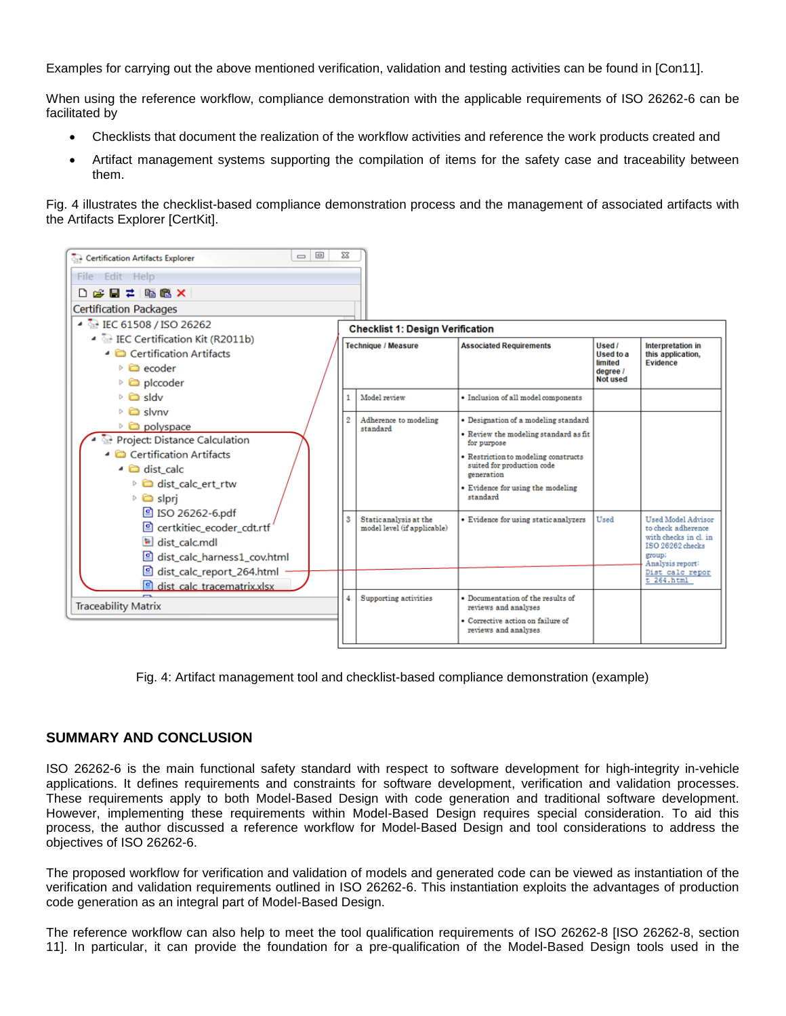Examples for carrying out the above mentioned verification, validation and testing activities can be found in [Con11].

When using the reference workflow, compliance demonstration with the applicable requirements of ISO 26262-6 can be facilitated by

- Checklists that document the realization of the workflow activities and reference the work products created and
- Artifact management systems supporting the compilation of items for the safety case and traceability between them.

Fig. 4 illustrates the checklist-based compliance demonstration process and the management of associated artifacts with the Artifacts Explorer [CertKit].



Fig. 4: Artifact management tool and checklist-based compliance demonstration (example)

## **SUMMARY AND CONCLUSION**

ISO 26262-6 is the main functional safety standard with respect to software development for high-integrity in-vehicle applications. It defines requirements and constraints for software development, verification and validation processes. These requirements apply to both Model-Based Design with code generation and traditional software development. However, implementing these requirements within Model-Based Design requires special consideration. To aid this process, the author discussed a reference workflow for Model-Based Design and tool considerations to address the objectives of ISO 26262-6.

The proposed workflow for verification and validation of models and generated code can be viewed as instantiation of the verification and validation requirements outlined in ISO 26262-6. This instantiation exploits the advantages of production code generation as an integral part of Model-Based Design.

The reference workflow can also help to meet the tool qualification requirements of ISO 26262-8 [ISO 26262-8, section 11]. In particular, it can provide the foundation for a pre-qualification of the Model-Based Design tools used in the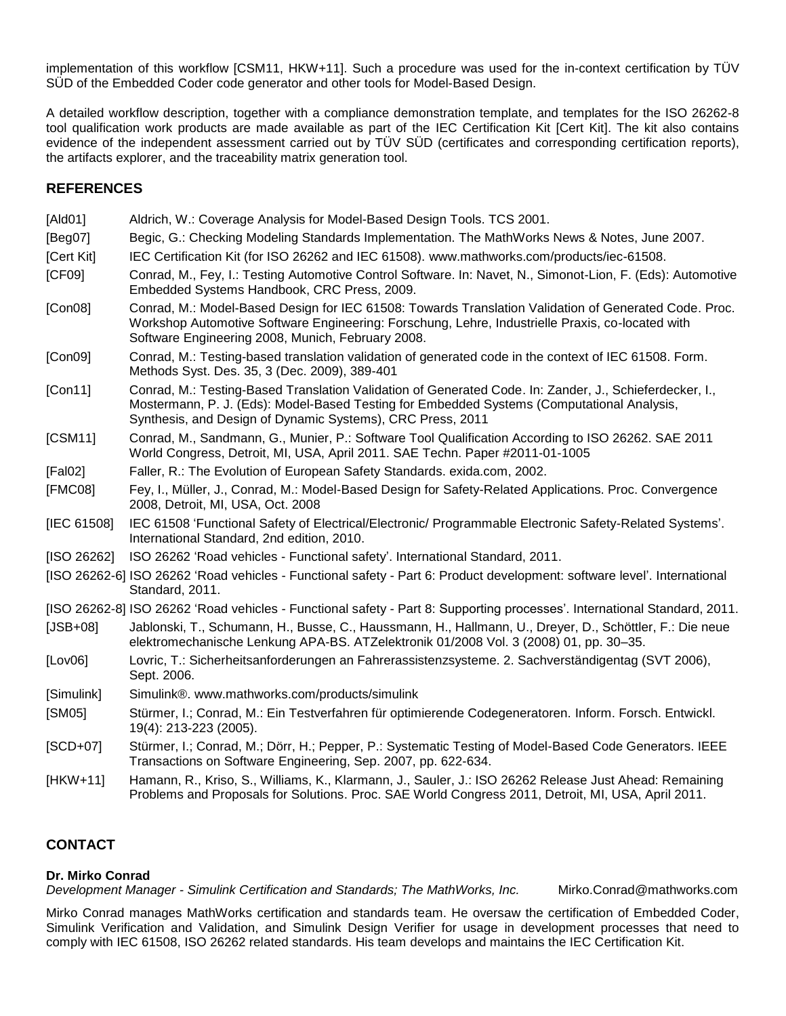implementation of this workflow [CSM11, HKW+11]. Such a procedure was used for the in-context certification by TÜV SÜD of the Embedded Coder code generator and other tools for Model-Based Design.

A detailed workflow description, together with a compliance demonstration template, and templates for the ISO 26262-8 tool qualification work products are made available as part of the IEC Certification Kit [Cert Kit]. The kit also contains evidence of the independent assessment carried out by TÜV SÜD (certificates and corresponding certification reports), the artifacts explorer, and the traceability matrix generation tool.

## **REFERENCES**

- [Ald01] Aldrich, W.: Coverage Analysis for Model-Based Design Tools. TCS 2001.
- [Beg07] Begic, G.: Checking Modeling Standards Implementation. The MathWorks News & Notes, June 2007.
- [Cert Kit] IEC Certification Kit (for ISO 26262 and IEC 61508). [www.mathworks.com/products/iec-61508.](http://www.mathworks.com/products/iec-61508)
- [CF09] Conrad, M., Fey, I.: Testing Automotive Control Software. In: Navet, N., Simonot-Lion, F. (Eds): Automotive Embedded Systems Handbook, CRC Press, 2009.
- [Con08] Conrad, M.: Model-Based Design for IEC 61508: Towards Translation Validation of Generated Code. Proc. Workshop Automotive Software Engineering: Forschung, Lehre, Industrielle Praxis, co-located with Software Engineering 2008, Munich, February 2008.
- [Con09] Conrad, M.: Testing-based translation validation of generated code in the context of IEC 61508. Form. Methods Syst. Des. 35, 3 (Dec. 2009), 389-401
- [Con11] Conrad, M.: Testing-Based Translation Validation of Generated Code. In: Zander, J., Schieferdecker, I., Mostermann, P. J. (Eds): Model-Based Testing for Embedded Systems (Computational Analysis, Synthesis, and Design of Dynamic Systems), CRC Press, 2011
- [CSM11] Conrad, M., Sandmann, G., Munier, P.: Software Tool Qualification According to ISO 26262. SAE 2011 World Congress, Detroit, MI, USA, April 2011. SAE Techn. Paper #2011-01-1005
- [Fal02] Faller, R.: The Evolution of European Safety Standards. exida.com, 2002.
- [FMC08] Fey, I., Müller, J., Conrad, M.: Model-Based Design for Safety-Related Applications. Proc. Convergence 2008, Detroit, MI, USA, Oct. 2008
- [IEC 61508] IEC 61508 'Functional Safety of Electrical/Electronic/ Programmable Electronic Safety-Related Systems'. International Standard, 2nd edition, 2010.
- [ISO 26262] ISO 26262 'Road vehicles Functional safety'. International Standard, 2011.
- [ISO 26262-6] ISO 26262 ‗Road vehicles Functional safety Part 6: Product development: software level'. International Standard, 2011.
- [ISO 26262-8] ISO 26262 ‗Road vehicles Functional safety Part 8: Supporting processes'. International Standard, 2011.
- [JSB+08] Jablonski, T., Schumann, H., Busse, C., Haussmann, H., Hallmann, U., Dreyer, D., Schöttler, F.: Die neue elektromechanische Lenkung APA-BS. ATZelektronik 01/2008 Vol. 3 (2008) 01, pp. 30–35.
- [Lov06] Lovric, T.: Sicherheitsanforderungen an Fahrerassistenzsysteme. 2. Sachverständigentag (SVT 2006), Sept. 2006.
- [Simulink] Simulink®. [www.mathworks.com/products/simulink](http://www.mathworks.com/products/simulink)
- [SM05] Stürmer, I.; Conrad, M.: Ein Testverfahren für optimierende Codegeneratoren. Inform. Forsch. Entwickl. 19(4): 213-223 (2005).
- [SCD+07] Stürmer, I.; Conrad, M.; Dörr, H.; Pepper, P.: Systematic Testing of Model-Based Code Generators. IEEE Transactions on Software Engineering, Sep. 2007, pp. 622-634.
- [HKW+11] Hamann, R., Kriso, S., Williams, K., Klarmann, J., Sauler, J.: ISO 26262 Release Just Ahead: Remaining Problems and Proposals for Solutions. Proc. SAE World Congress 2011, Detroit, MI, USA, April 2011.

## **CONTACT**

#### **Dr. Mirko Conrad**

*Development Manager - Simulink Certification and Standards; The MathWorks, Inc.* Mirko.Conrad@mathworks.com

Mirko Conrad manages MathWorks certification and standards team. He oversaw the certification of Embedded Coder, Simulink Verification and Validation, and Simulink Design Verifier for usage in development processes that need to comply with IEC 61508, ISO 26262 related standards. His team develops and maintains the IEC Certification Kit.